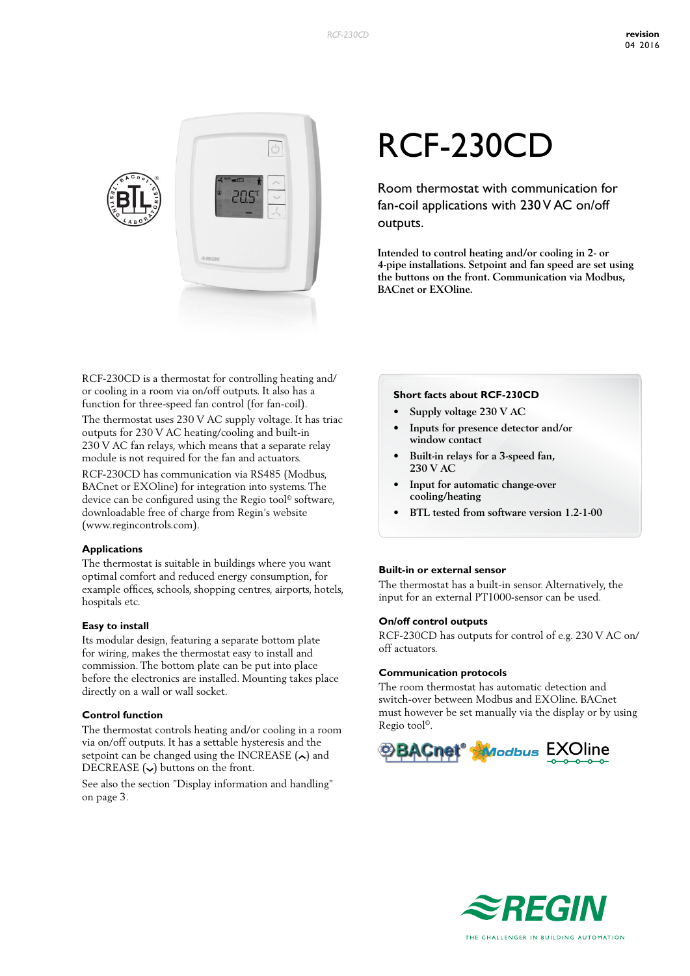

# RCF-230CD

Room thermostat with communication for fan-coil applications with 230 V AC on/off outputs.

**Intended to control heating and/or cooling in 2- or 4-pipe installations. Setpoint and fan speed are set using the buttons on the front. Communication via Modbus, BACnet or EXOline.**

RCF-230CD is a thermostat for controlling heating and/ or cooling in a room via on/off outputs. It also has a function for three-speed fan control (for fan-coil). The thermostat uses 230 V AC supply voltage. It has triac outputs for 230 V AC heating/cooling and built-in 230 V AC fan relays, which means that a separate relay

module is not required for the fan and actuators. RCF-230CD has communication via RS485 (Modbus, BACnet or EXOline) for integration into systems. The

device can be configured using the Regio tool<sup>®</sup> software, downloadable free of charge from Regin's website (www.regincontrols.com).

# **Applications**

The thermostat is suitable in buildings where you want optimal comfort and reduced energy consumption, for example offices, schools, shopping centres, airports, hotels, hospitals etc.

# **Easy to install**

Its modular design, featuring a separate bottom plate for wiring, makes the thermostat easy to install and commission. The bottom plate can be put into place before the electronics are installed. Mounting takes place directly on a wall or wall socket.

# **Control function**

The thermostat controls heating and/or cooling in a room via on/off outputs. It has a settable hysteresis and the setpoint can be changed using the INCREASE  $(\wedge)$  and DECREASE  $(\sim)$  buttons on the front.

See also the section "Display information and handling" on page 3.

# **Short facts about RCF-230CD**

- **• Supply voltage 230 V AC**
- **• Inputs for presence detector and/or window contact**
- **• Built-in relays for a 3-speed fan, 230 V AC**
- **• Input for automatic change-over cooling/heating**
- **• BTL tested from software version 1.2-1-00**

#### **Built-in or external sensor**

The thermostat has a built-in sensor. Alternatively, the input for an external PT1000-sensor can be used.

#### **On/off control outputs**

RCF-230CD has outputs for control of e.g. 230 V AC on/ off actuators.

#### **Communication protocols**

The room thermostat has automatic detection and switch-over between Modbus and EXOline. BACnet must however be set manually via the display or by using Regio tool©.



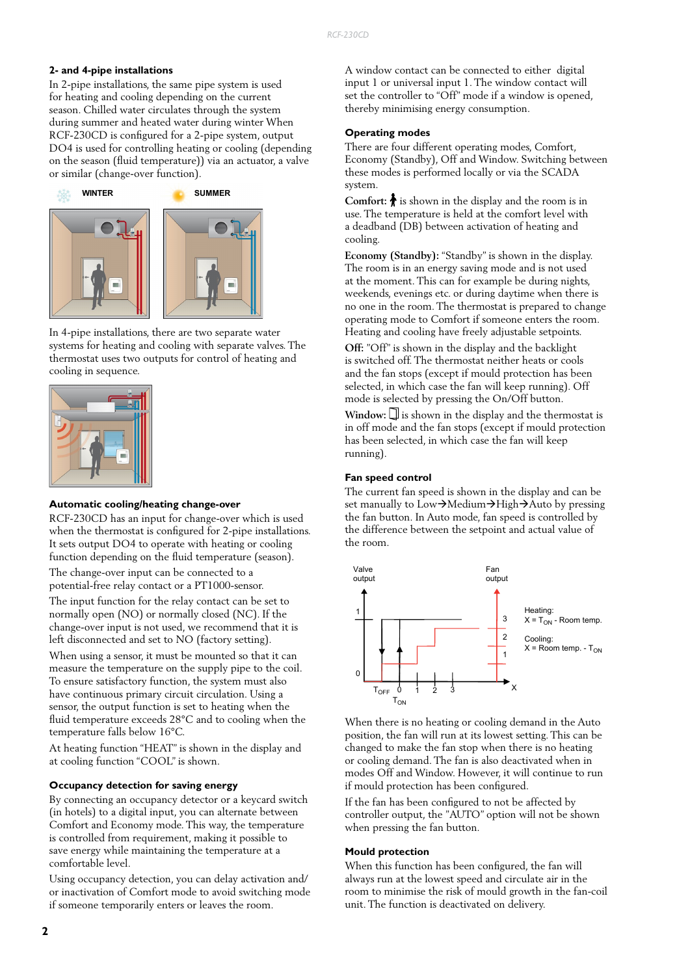#### **2- and 4-pipe installations**

In 2-pipe installations, the same pipe system is used for heating and cooling depending on the current season. Chilled water circulates through the system during summer and heated water during winter When RCF-230CD is configured for a 2-pipe system, output DO4 is used for controlling heating or cooling (depending on the season (fluid temperature)) via an actuator, a valve or similar (change-over function).



In 4-pipe installations, there are two separate water systems for heating and cooling with separate valves. The thermostat uses two outputs for control of heating and cooling in sequence.



#### **Automatic cooling/heating change-over**

RCF-230CD has an input for change-over which is used when the thermostat is configured for 2-pipe installations. It sets output DO4 to operate with heating or cooling function depending on the fluid temperature (season).

The change-over input can be connected to a potential-free relay contact or a PT1000-sensor.

The input function for the relay contact can be set to normally open (NO) or normally closed (NC). If the change-over input is not used, we recommend that it is left disconnected and set to NO (factory setting).

When using a sensor, it must be mounted so that it can measure the temperature on the supply pipe to the coil. To ensure satisfactory function, the system must also have continuous primary circuit circulation. Using a sensor, the output function is set to heating when the fluid temperature exceeds 28°C and to cooling when the temperature falls below 16°C.

At heating function "HEAT" is shown in the display and at cooling function "COOL" is shown.

#### **Occupancy detection for saving energy**

By connecting an occupancy detector or a keycard switch (in hotels) to a digital input, you can alternate between Comfort and Economy mode. This way, the temperature is controlled from requirement, making it possible to save energy while maintaining the temperature at a comfortable level.

Using occupancy detection, you can delay activation and/ or inactivation of Comfort mode to avoid switching mode if someone temporarily enters or leaves the room.

A window contact can be connected to either digital input 1 or universal input 1. The window contact will set the controller to "Off" mode if a window is opened, thereby minimising energy consumption.

#### **Operating modes**

There are four different operating modes, Comfort, Economy (Standby), Off and Window. Switching between these modes is performed locally or via the SCADA system.

**Comfort:**  $\triangle$  is shown in the display and the room is in use. The temperature is held at the comfort level with a deadband (DB) between activation of heating and cooling.

**Economy (Standby):** "Standby" is shown in the display. The room is in an energy saving mode and is not used at the moment. This can for example be during nights, weekends, evenings etc. or during daytime when there is no one in the room. The thermostat is prepared to change operating mode to Comfort if someone enters the room. Heating and cooling have freely adjustable setpoints.

**Off:** "Off" is shown in the display and the backlight is switched off. The thermostat neither heats or cools and the fan stops (except if mould protection has been selected, in which case the fan will keep running). Off mode is selected by pressing the On/Off button.

**Window:**  $\Box$  is shown in the display and the thermostat is in off mode and the fan stops (except if mould protection has been selected, in which case the fan will keep running).

#### **Fan speed control**

The current fan speed is shown in the display and can be set manually to  $Low\rightarrow Medium\rightarrow High\rightarrow Auto$  by pressing the fan button. In Auto mode, fan speed is controlled by the difference between the setpoint and actual value of the room.



When there is no heating or cooling demand in the Auto position, the fan will run at its lowest setting. This can be changed to make the fan stop when there is no heating or cooling demand. The fan is also deactivated when in modes Off and Window. However, it will continue to run if mould protection has been configured.

If the fan has been configured to not be affected by controller output, the "AUTO" option will not be shown when pressing the fan button.

#### **Mould protection**

When this function has been configured, the fan will always run at the lowest speed and circulate air in the room to minimise the risk of mould growth in the fan-coil unit. The function is deactivated on delivery.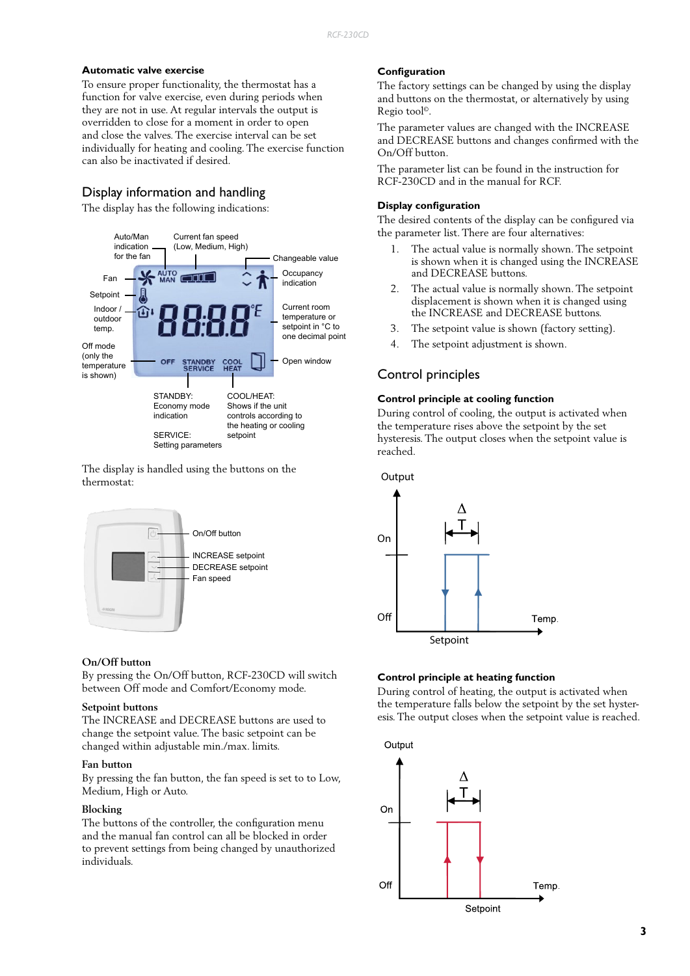# **Automatic valve exercise**

To ensure proper functionality, the thermostat has a function for valve exercise, even during periods when they are not in use. At regular intervals the output is overridden to close for a moment in order to open and close the valves. The exercise interval can be set individually for heating and cooling. The exercise function can also be inactivated if desired.

# Display information and handling

The display has the following indications:



The display is handled using the buttons on the thermostat:



#### **On/Off button**

By pressing the On/Off button, RCF-230CD will switch between Off mode and Comfort/Economy mode.

#### **Setpoint buttons**

The INCREASE and DECREASE buttons are used to change the setpoint value. The basic setpoint can be changed within adjustable min./max. limits.

#### **Fan button**

By pressing the fan button, the fan speed is set to to Low, Medium, High or Auto.

#### **Blocking**

The buttons of the controller, the configuration menu and the manual fan control can all be blocked in order to prevent settings from being changed by unauthorized individuals.

### **Configuration**

The factory settings can be changed by using the display and buttons on the thermostat, or alternatively by using Regio tool©.

The parameter values are changed with the INCREASE and DECREASE buttons and changes confirmed with the On/Off button.

The parameter list can be found in the instruction for RCF-230CD and in the manual for RCF.

### **Display configuration**

The desired contents of the display can be configured via the parameter list. There are four alternatives:

- 1. The actual value is normally shown. The setpoint is shown when it is changed using the INCREASE and DECREASE buttons.
- 2. The actual value is normally shown. The setpoint displacement is shown when it is changed using the INCREASE and DECREASE buttons.
- 3. The setpoint value is shown (factory setting).
- 4. The setpoint adjustment is shown.

# Control principles

## **Control principle at cooling function**

During control of cooling, the output is activated when the temperature rises above the setpoint by the set hysteresis. The output closes when the setpoint value is reached.



#### **Control principle at heating function**

During control of heating, the output is activated when the temperature falls below the setpoint by the set hysteresis. The output closes when the setpoint value is reached.



Off

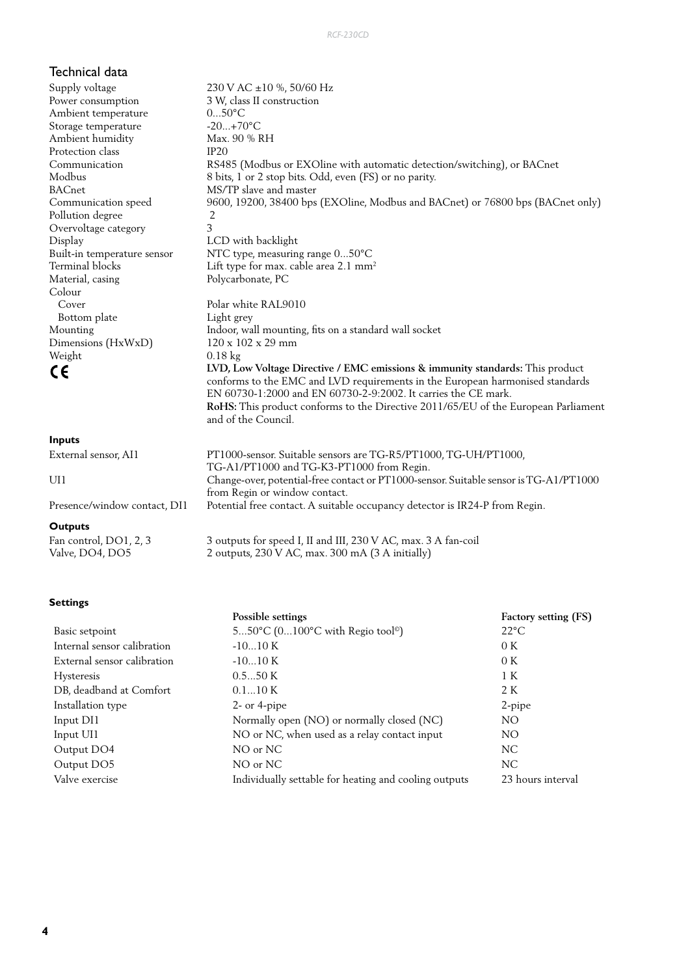# Technical data

Supply voltage  $230 \text{ V AC } \pm 10 \%$ , 50/60 Hz Power consumption 3 W, class II construction Ambient temperature 0...50°C Storage temperature -20...+70°C Ambient humidity Max. 90 % RH Protection class IP20<br>Communication RS48 BACnet MS/TP slave and master Pollution degree 2 Overvoltage category 3 Display LCD with backlight Material, casing Polycarbonate, PC Colour Cover Polar white RAL9010 Bottom plate Light grey Dimensions (HxWxD) Weight 0.18 kg



# **Inputs**

External sensor, AI1 PT1000-sensor. Suitable sensors are TG-R5/PT1000, TG-UH/PT1000, TG-A1/PT1000 and TG-K3-PT1000 from Regin. UI1 Change-over, potential-free contact or PT1000-sensor. Suitable sensor is TG-A1/PT1000 from Regin or window contact. Presence/window contact, DI1 Potential free contact. A suitable occupancy detector is IR24-P from Regin. **Outputs**

Fan control, DO1, 2, 3 3 outputs for speed I, II and III, 230 V AC, max. 3 A fan-coil Valve, DO4, DO5 2 outputs, 230 V AC, max. 300 mA (3 A initially)

# **Settings**

|                             | Possible settings                                     | <b>Factory setting (FS)</b> |
|-----------------------------|-------------------------------------------------------|-----------------------------|
| Basic setpoint              | 550°C (0100°C with Regio tool <sup>®</sup> )          | $22^{\circ}$ C              |
| Internal sensor calibration | $-1010K$                                              | 0K                          |
| External sensor calibration | $-1010K$                                              | 0K                          |
| <b>Hysteresis</b>           | 0.550K                                                | 1 K                         |
| DB, deadband at Comfort     | 0.110K                                                | 2 K                         |
| Installation type           | $2$ - or 4-pipe                                       | 2-pipe                      |
| Input DI1                   | Normally open (NO) or normally closed (NC)            | NO.                         |
| Input UI1                   | NO or NC, when used as a relay contact input          | NO.                         |
| Output DO4                  | NO or NC                                              | NC.                         |
| Output DO5                  | NO or NC                                              | NC.                         |
| Valve exercise              | Individually settable for heating and cooling outputs | 23 hours interval           |

RS485 (Modbus or EXOline with automatic detection/switching), or BACnet Modbus 8 bits, 1 or 2 stop bits. Odd, even (FS) or no parity. Communication speed 9600, 19200, 38400 bps (EXOline, Modbus and BACnet) or 76800 bps (BACnet only) Built-in temperature sensor NTC type, measuring range 0...50°C Terminal blocks Lift type for max. cable area 2.1 mm<sup>2</sup> Mounting Indoor, wall mounting, fits on a standard wall socket<br>Dimensions (HxWxD)  $120 \times 102 \times 29 \text{ mm}$  **LVD, Low Voltage Directive / EMC emissions & immunity standards:** This product conforms to the EMC and LVD requirements in the European harmonised standards EN 60730-1:2000 and EN 60730-2-9:2002. It carries the CE mark. **RoHS:** This product conforms to the Directive 2011/65/EU of the European Parliament and of the Council.